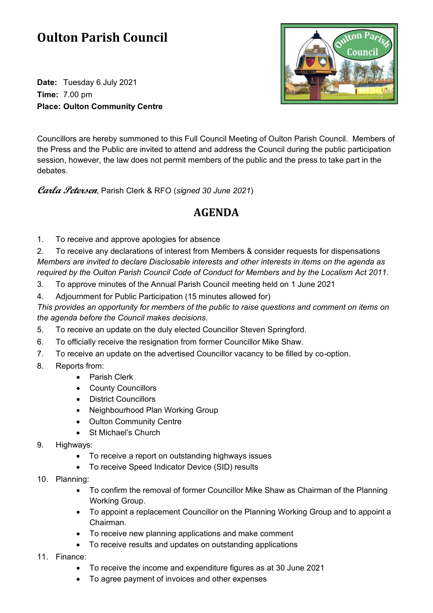## **Oulton Parish Council**

**Date:** Tuesday 6 July 2021 **Time:** 7.00 pm **Place: Oulton Community Centre**



Councillors are hereby summoned to this Full Council Meeting of Oulton Parish Council. Members of the Press and the Public are invited to attend and address the Council during the public participation session, however, the law does not permit members of the public and the press to take part in the debates.

**Carla Petersen**, Parish Clerk & RFO (*signed 30 June 2021*)

## **AGENDA**

1. To receive and approve apologies for absence

2. To receive any declarations of interest from Members & consider requests for dispensations *Members are invited to declare Disclosable interests and other interests in items on the agenda as required by the Oulton Parish Council Code of Conduct for Members and by the Localism Act 2011.*

- 3. To approve minutes of the Annual Parish Council meeting held on 1 June 2021
- 4. Adjournment for Public Participation (15 minutes allowed for)

*This provides an opportunity for members of the public to raise questions and comment on items on the agenda before the Council makes decisions.*

- 5. To receive an update on the duly elected Councillor Steven Springford.
- 6. To officially receive the resignation from former Councillor Mike Shaw.
- 7. To receive an update on the advertised Councillor vacancy to be filled by co-option.
- 8. Reports from:
	- Parish Clerk
	- County Councillors
	- District Councillors
	- Neighbourhood Plan Working Group
	- Oulton Community Centre
	- St Michael's Church
- 9. Highways:
	- To receive a report on outstanding highways issues
	- To receive Speed Indicator Device (SID) results
- 10. Planning:
	- To confirm the removal of former Councillor Mike Shaw as Chairman of the Planning Working Group.
	- To appoint a replacement Councillor on the Planning Working Group and to appoint a Chairman.
	- To receive new planning applications and make comment
	- To receive results and updates on outstanding applications
- 11. Finance:
	- To receive the income and expenditure figures as at 30 June 2021
	- To agree payment of invoices and other expenses